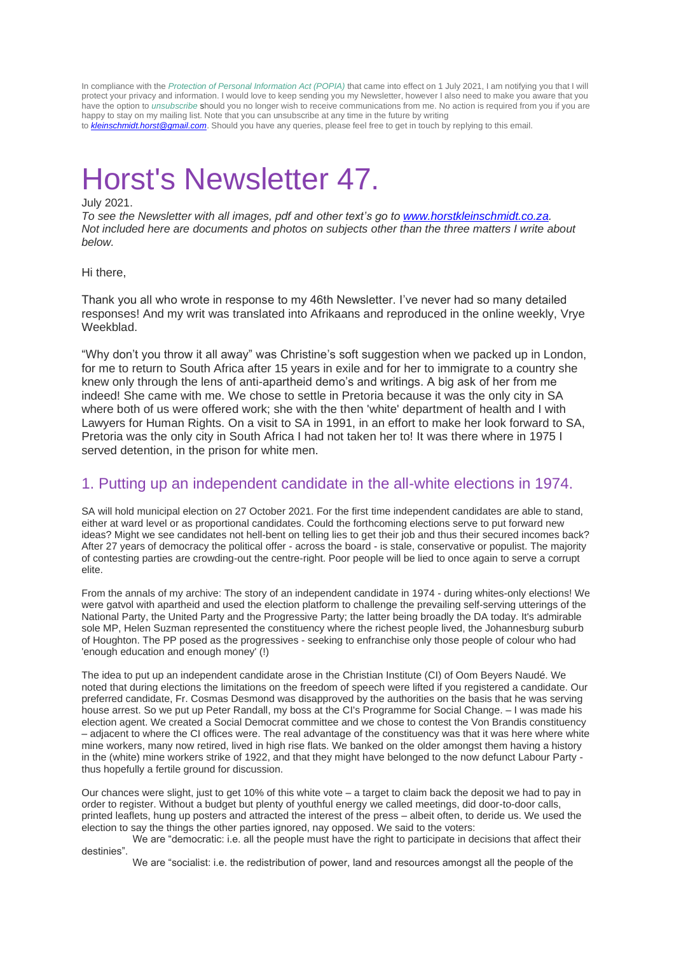In compliance with the *[Protection of Personal Information Act \(POPIA\)](https://greenhouserestaurant.us8.list-manage.com/track/click?u=967951681f1af277159f0b45e&id=4e89d622ca&e=0cad8dbfc7)* that came into effect on 1 July 2021, I am notifying you that I will protect your privacy and information. I would love to keep sending you my Newsletter, however I also need to make you aware that you have the option to *[unsubscribe](https://greenhouserestaurant.us8.list-manage.com/unsubscribe?u=967951681f1af277159f0b45e&id=6482f0928a&e=0cad8dbfc7&c=a889c33fd1)* should you no longer wish to receive communications from me. No action is required from you if you are happy to stay on my mailing list. Note that you can unsubscribe at any time in the future by writing

to *[kleinschmidt.horst@gmail.com](mailto:kleinschmidt.horst@gmail.com)*. Should you have any queries, please feel free to get in touch by replying to this email.

# Horst's Newsletter 47.

## July 2021.

*To see the Newsletter with all images, pdf and other text's go to [www.horstkleinschmidt.co.za.](http://www.horstkleinschmidt.co.za/) Not included here are documents and photos on subjects other than the three matters I write about below.* 

### Hi there,

Thank you all who wrote in response to my 46th Newsletter. I've never had so many detailed responses! And my writ was translated into Afrikaans and reproduced in the online weekly, Vrye Weekblad.

"Why don't you throw it all away" was Christine's soft suggestion when we packed up in London, for me to return to South Africa after 15 years in exile and for her to immigrate to a country she knew only through the lens of anti-apartheid demo's and writings. A big ask of her from me indeed! She came with me. We chose to settle in Pretoria because it was the only city in SA where both of us were offered work; she with the then 'white' department of health and I with Lawyers for Human Rights. On a visit to SA in 1991, in an effort to make her look forward to SA, Pretoria was the only city in South Africa I had not taken her to! It was there where in 1975 I served detention, in the prison for white men.

# 1. Putting up an independent candidate in the all-white elections in 1974.

SA will hold municipal election on 27 October 2021. For the first time independent candidates are able to stand, either at ward level or as proportional candidates. Could the forthcoming elections serve to put forward new ideas? Might we see candidates not hell-bent on telling lies to get their job and thus their secured incomes back? After 27 years of democracy the political offer - across the board - is stale, conservative or populist. The majority of contesting parties are crowding-out the centre-right. Poor people will be lied to once again to serve a corrupt elite.

From the annals of my archive: The story of an independent candidate in 1974 - during whites-only elections! We were gatvol with apartheid and used the election platform to challenge the prevailing self-serving utterings of the National Party, the United Party and the Progressive Party; the latter being broadly the DA today. It's admirable sole MP, Helen Suzman represented the constituency where the richest people lived, the Johannesburg suburb of Houghton. The PP posed as the progressives - seeking to enfranchise only those people of colour who had 'enough education and enough money' (!)

The idea to put up an independent candidate arose in the Christian Institute (CI) of Oom Beyers Naudé. We noted that during elections the limitations on the freedom of speech were lifted if you registered a candidate. Our preferred candidate, Fr. Cosmas Desmond was disapproved by the authorities on the basis that he was serving house arrest. So we put up Peter Randall, my boss at the CI's Programme for Social Change. – I was made his election agent. We created a Social Democrat committee and we chose to contest the Von Brandis constituency – adjacent to where the CI offices were. The real advantage of the constituency was that it was here where white mine workers, many now retired, lived in high rise flats. We banked on the older amongst them having a history in the (white) mine workers strike of 1922, and that they might have belonged to the now defunct Labour Party thus hopefully a fertile ground for discussion.

Our chances were slight, just to get 10% of this white vote – a target to claim back the deposit we had to pay in order to register. Without a budget but plenty of youthful energy we called meetings, did door-to-door calls, printed leaflets, hung up posters and attracted the interest of the press – albeit often, to deride us. We used the election to say the things the other parties ignored, nay opposed. We said to the voters:

We are "democratic: i.e. all the people must have the right to participate in decisions that affect their destinies".

We are "socialist: i.e. the redistribution of power, land and resources amongst all the people of the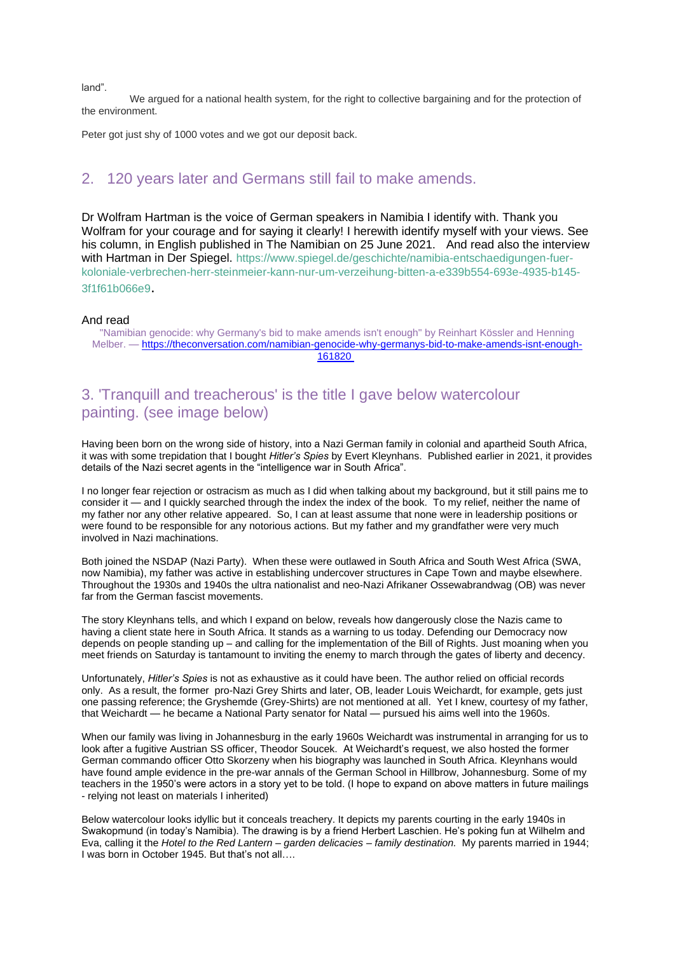land".

We argued for a national health system, for the right to collective bargaining and for the protection of the environment.

Peter got just shy of 1000 votes and we got our deposit back.

## 2. 120 years later and Germans still fail to make amends.

Dr Wolfram Hartman is the voice of German speakers in Namibia I identify with. Thank you Wolfram for your courage and for saying it clearly! I herewith identify myself with your views. See his column, in English published in The Namibian on 25 June 2021. And read also the interview with Hartman in Der Spiegel. [https://www.spiegel.de/geschichte/namibia-entschaedigungen-fuer](https://www.spiegel.de/geschichte/namibia-entschaedigungen-fuer-koloniale-verbrechen-herr-steinmeier-kann-nur-um-verzeihung-bitten-a-e339b554-693e-4935-b145-3f1f61b066e9)[koloniale-verbrechen-herr-steinmeier-kann-nur-um-verzeihung-bitten-a-e339b554-693e-4935-b145-](https://www.spiegel.de/geschichte/namibia-entschaedigungen-fuer-koloniale-verbrechen-herr-steinmeier-kann-nur-um-verzeihung-bitten-a-e339b554-693e-4935-b145-3f1f61b066e9) [3f1f61b066e9](https://www.spiegel.de/geschichte/namibia-entschaedigungen-fuer-koloniale-verbrechen-herr-steinmeier-kann-nur-um-verzeihung-bitten-a-e339b554-693e-4935-b145-3f1f61b066e9).

#### And read

"Namibian genocide: why Germany's bid to make amends isn't enough" by Reinhart Kössler and Henning Melber. — [https://theconversation.com/namibian-genocide-why-germanys-bid-to-make-amends-isnt-enough-](https://theconversation.com/namibian-genocide-why-germanys-bid-to-make-amends-isnt-enough-161820 3)[161820](https://theconversation.com/namibian-genocide-why-germanys-bid-to-make-amends-isnt-enough-161820 3)

## 3. 'Tranquill and treacherous' is the title I gave below watercolour painting. (see image below)

Having been born on the wrong side of history, into a Nazi German family in colonial and apartheid South Africa, it was with some trepidation that I bought *Hitler's Spies* by Evert Kleynhans. Published earlier in 2021, it provides details of the Nazi secret agents in the "intelligence war in South Africa".

I no longer fear rejection or ostracism as much as I did when talking about my background, but it still pains me to consider it — and I quickly searched through the index the index of the book. To my relief, neither the name of my father nor any other relative appeared. So, I can at least assume that none were in leadership positions or were found to be responsible for any notorious actions. But my father and my grandfather were very much involved in Nazi machinations.

Both joined the NSDAP (Nazi Party). When these were outlawed in South Africa and South West Africa (SWA, now Namibia), my father was active in establishing undercover structures in Cape Town and maybe elsewhere. Throughout the 1930s and 1940s the ultra nationalist and neo-Nazi Afrikaner Ossewabrandwag (OB) was never far from the German fascist movements.

The story Kleynhans tells, and which I expand on below, reveals how dangerously close the Nazis came to having a client state here in South Africa. It stands as a warning to us today. Defending our Democracy now depends on people standing up – and calling for the implementation of the Bill of Rights. Just moaning when you meet friends on Saturday is tantamount to inviting the enemy to march through the gates of liberty and decency.

Unfortunately, *Hitler's Spies* is not as exhaustive as it could have been. The author relied on official records only. As a result, the former pro-Nazi Grey Shirts and later, OB, leader Louis Weichardt, for example, gets just one passing reference; the Gryshemde (Grey-Shirts) are not mentioned at all. Yet I knew, courtesy of my father, that Weichardt — he became a National Party senator for Natal — pursued his aims well into the 1960s.

When our family was living in Johannesburg in the early 1960s Weichardt was instrumental in arranging for us to look after a fugitive Austrian SS officer, Theodor Soucek. At Weichardt's request, we also hosted the former German commando officer Otto Skorzeny when his biography was launched in South Africa. Kleynhans would have found ample evidence in the pre-war annals of the German School in Hillbrow, Johannesburg. Some of my teachers in the 1950's were actors in a story yet to be told. (I hope to expand on above matters in future mailings - relying not least on materials I inherited)

Below watercolour looks idyllic but it conceals treachery. It depicts my parents courting in the early 1940s in Swakopmund (in today's Namibia). The drawing is by a friend Herbert Laschien. He's poking fun at Wilhelm and Eva, calling it the *Hotel to the Red Lantern – garden delicacies – family destination.* My parents married in 1944; I was born in October 1945. But that's not all….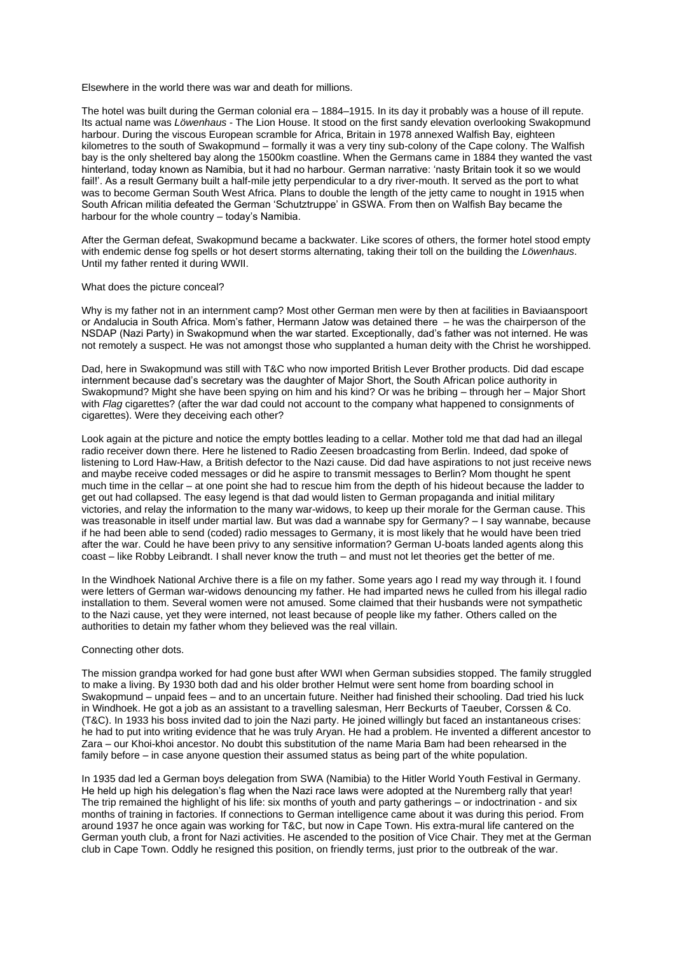Elsewhere in the world there was war and death for millions.

The hotel was built during the German colonial era – 1884–1915. In its day it probably was a house of ill repute. Its actual name was *Löwenhaus* - The Lion House. It stood on the first sandy elevation overlooking Swakopmund harbour. During the viscous European scramble for Africa, Britain in 1978 annexed Walfish Bay, eighteen kilometres to the south of Swakopmund – formally it was a very tiny sub-colony of the Cape colony. The Walfish bay is the only sheltered bay along the 1500km coastline. When the Germans came in 1884 they wanted the vast hinterland, today known as Namibia, but it had no harbour. German narrative: 'nasty Britain took it so we would fail!'. As a result Germany built a half-mile jetty perpendicular to a dry river-mouth. It served as the port to what was to become German South West Africa. Plans to double the length of the jetty came to nought in 1915 when South African militia defeated the German 'Schutztruppe' in GSWA. From then on Walfish Bay became the harbour for the whole country – today's Namibia.

After the German defeat, Swakopmund became a backwater. Like scores of others, the former hotel stood empty with endemic dense fog spells or hot desert storms alternating, taking their toll on the building the *Löwenhaus*. Until my father rented it during WWII.

#### What does the picture conceal?

Why is my father not in an internment camp? Most other German men were by then at facilities in Baviaanspoort or Andalucia in South Africa. Mom's father, Hermann Jatow was detained there – he was the chairperson of the NSDAP (Nazi Party) in Swakopmund when the war started. Exceptionally, dad's father was not interned. He was not remotely a suspect. He was not amongst those who supplanted a human deity with the Christ he worshipped.

Dad, here in Swakopmund was still with T&C who now imported British Lever Brother products. Did dad escape internment because dad's secretary was the daughter of Major Short, the South African police authority in Swakopmund? Might she have been spying on him and his kind? Or was he bribing – through her – Major Short with *Flag* cigarettes? (after the war dad could not account to the company what happened to consignments of cigarettes). Were they deceiving each other?

Look again at the picture and notice the empty bottles leading to a cellar. Mother told me that dad had an illegal radio receiver down there. Here he listened to Radio Zeesen broadcasting from Berlin. Indeed, dad spoke of listening to Lord Haw-Haw, a British defector to the Nazi cause. Did dad have aspirations to not just receive news and maybe receive coded messages or did he aspire to transmit messages to Berlin? Mom thought he spent much time in the cellar – at one point she had to rescue him from the depth of his hideout because the ladder to get out had collapsed. The easy legend is that dad would listen to German propaganda and initial military victories, and relay the information to the many war-widows, to keep up their morale for the German cause. This was treasonable in itself under martial law. But was dad a wannabe spy for Germany? – I say wannabe, because if he had been able to send (coded) radio messages to Germany, it is most likely that he would have been tried after the war. Could he have been privy to any sensitive information? German U-boats landed agents along this coast – like Robby Leibrandt. I shall never know the truth – and must not let theories get the better of me.

In the Windhoek National Archive there is a file on my father. Some years ago I read my way through it. I found were letters of German war-widows denouncing my father. He had imparted news he culled from his illegal radio installation to them. Several women were not amused. Some claimed that their husbands were not sympathetic to the Nazi cause, yet they were interned, not least because of people like my father. Others called on the authorities to detain my father whom they believed was the real villain.

#### Connecting other dots.

The mission grandpa worked for had gone bust after WWI when German subsidies stopped. The family struggled to make a living. By 1930 both dad and his older brother Helmut were sent home from boarding school in Swakopmund – unpaid fees – and to an uncertain future. Neither had finished their schooling. Dad tried his luck in Windhoek. He got a job as an assistant to a travelling salesman, Herr Beckurts of Taeuber, Corssen & Co. (T&C). In 1933 his boss invited dad to join the Nazi party. He joined willingly but faced an instantaneous crises: he had to put into writing evidence that he was truly Aryan. He had a problem. He invented a different ancestor to Zara – our Khoi-khoi ancestor. No doubt this substitution of the name Maria Bam had been rehearsed in the family before – in case anyone question their assumed status as being part of the white population.

In 1935 dad led a German boys delegation from SWA (Namibia) to the Hitler World Youth Festival in Germany. He held up high his delegation's flag when the Nazi race laws were adopted at the Nuremberg rally that year! The trip remained the highlight of his life: six months of youth and party gatherings – or indoctrination - and six months of training in factories. If connections to German intelligence came about it was during this period. From around 1937 he once again was working for T&C, but now in Cape Town. His extra-mural life cantered on the German youth club, a front for Nazi activities. He ascended to the position of Vice Chair. They met at the German club in Cape Town. Oddly he resigned this position, on friendly terms, just prior to the outbreak of the war.